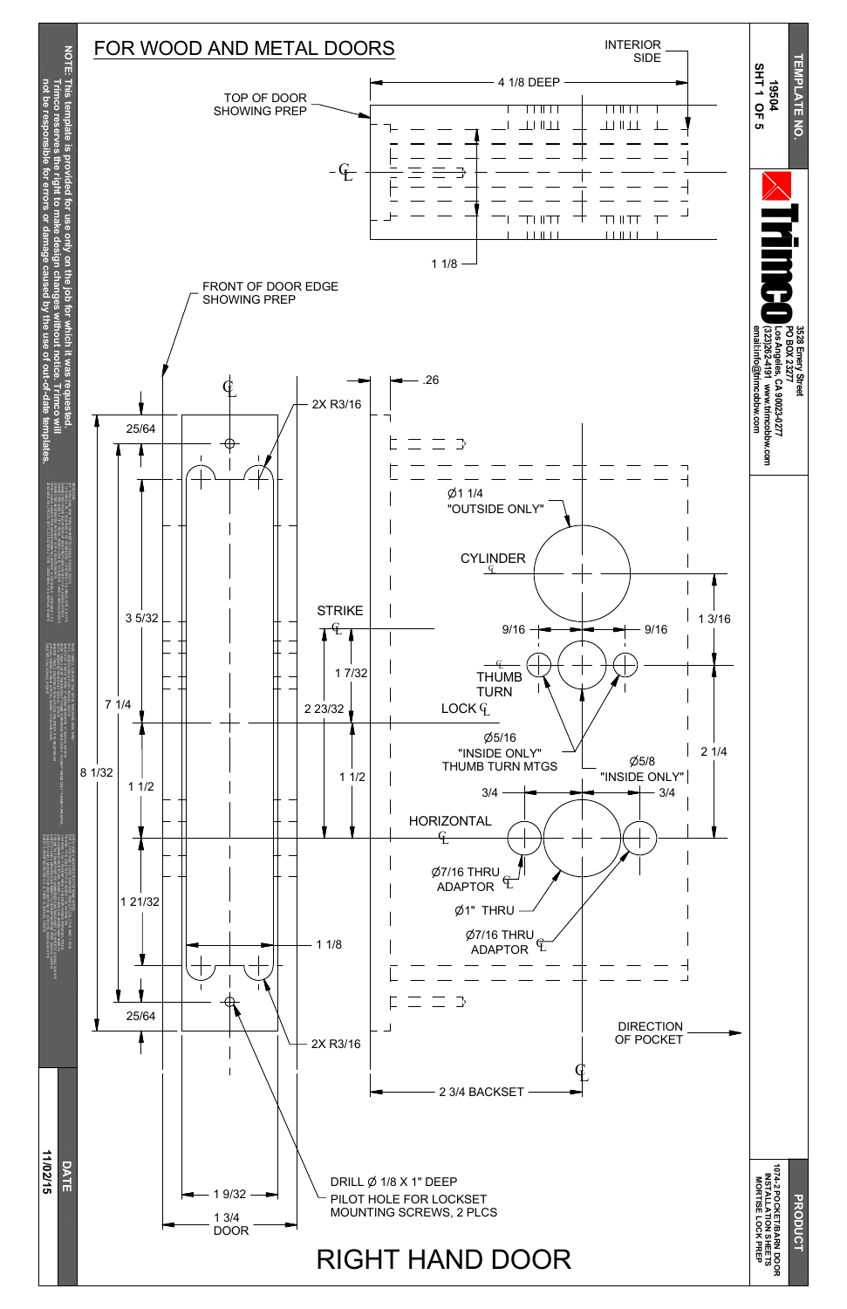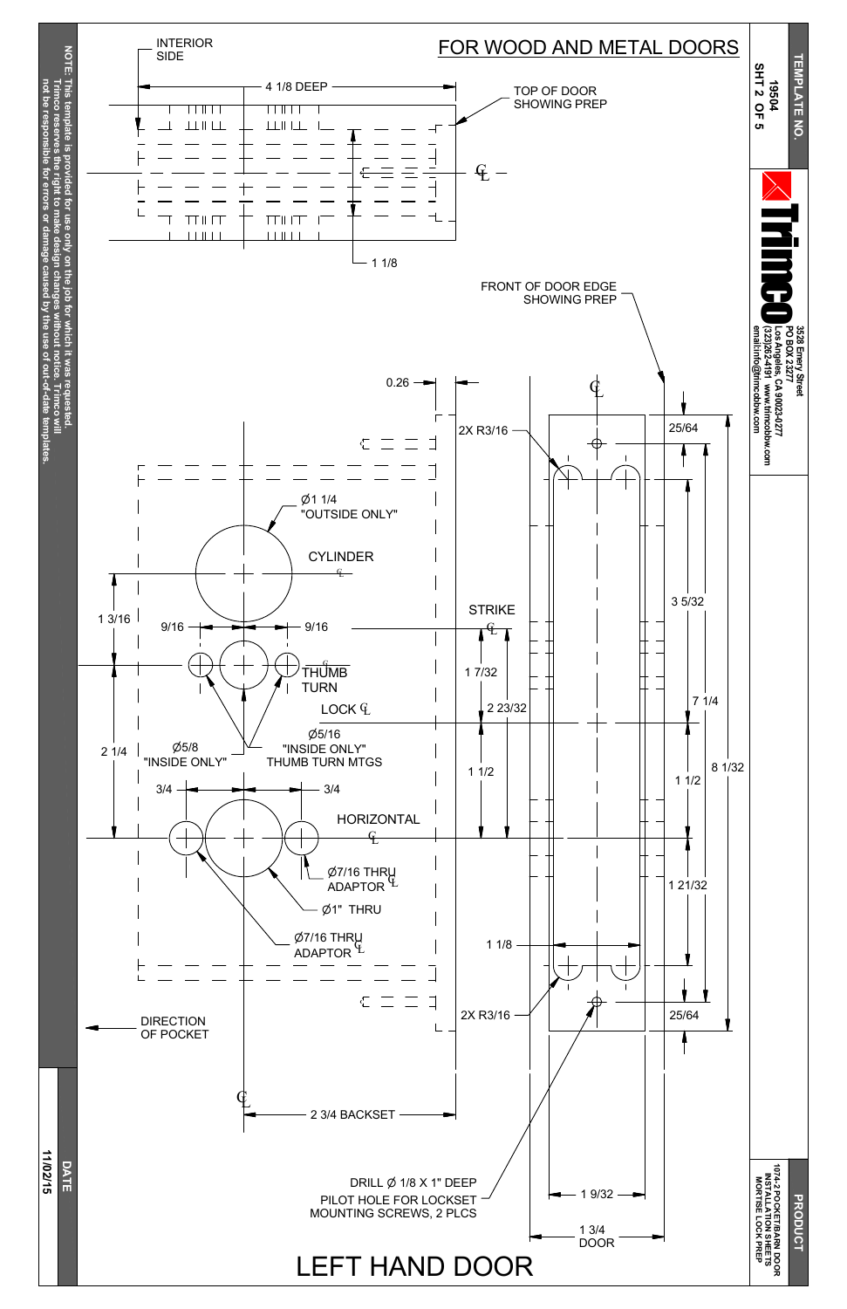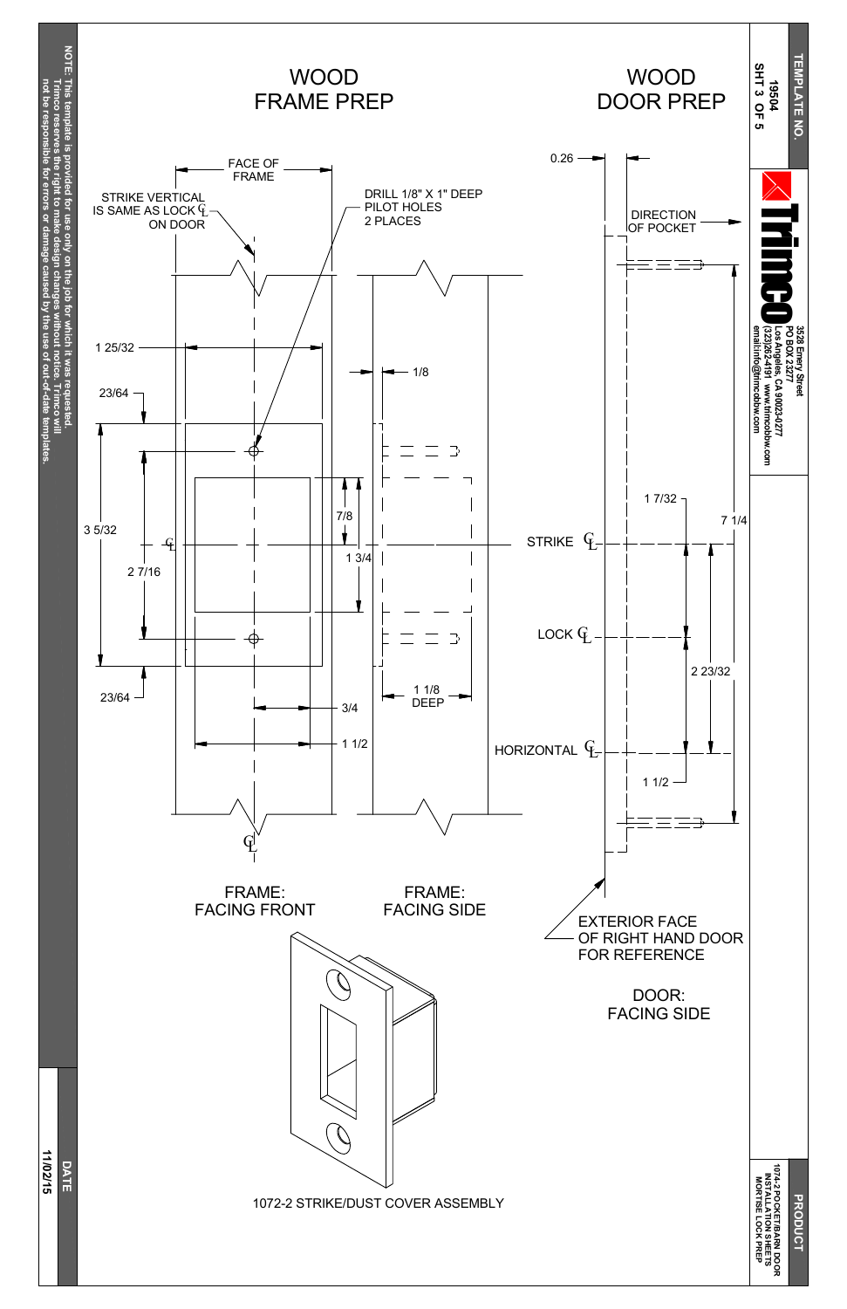**DRODUC PO C KET/B A RN D O O R**



**SHEETS**

**LO C K**

**PREP**

1072-2 STRIKE/DUST COVER ASSEMBLY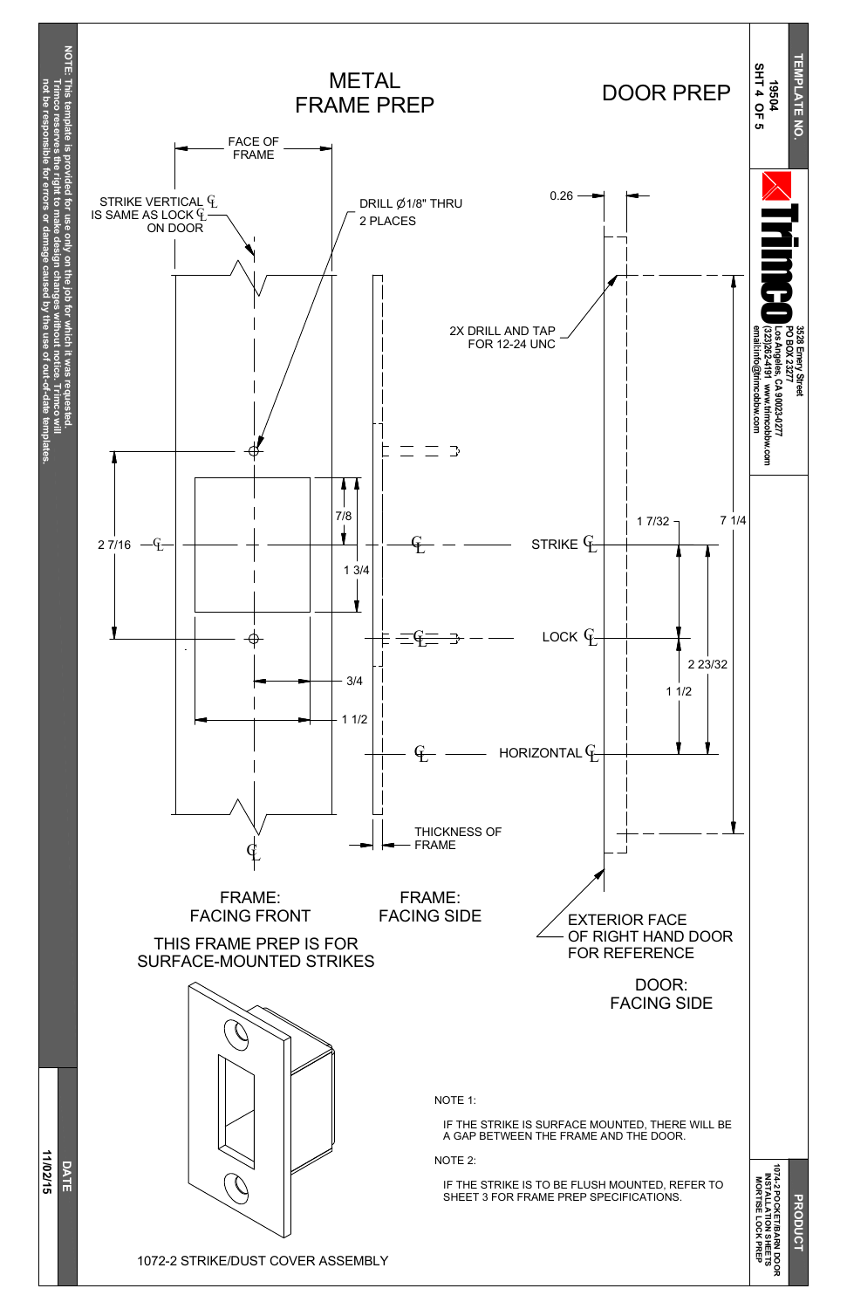

**PO C KET/B A RN D O O R SHEETS PREP**

1072-2 STRIKE/DUST COVER ASSEMBLY